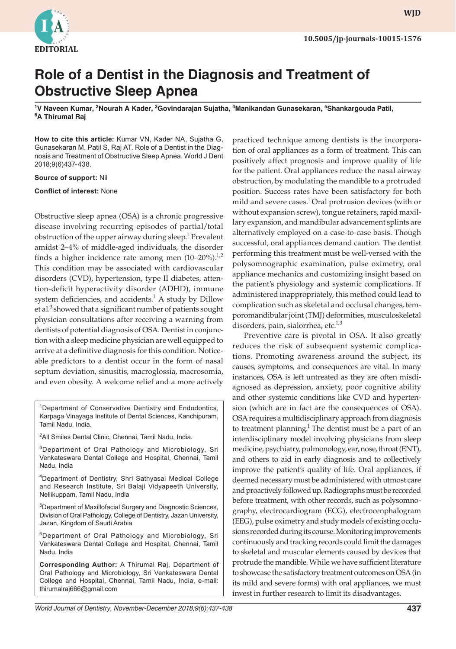

**WJD WJD**

## **Role of a Dentist in the Diagnosis and Treatment of Obstructive Sleep Apnea**

<sup>1</sup>V Naveen Kumar, <sup>2</sup>Nourah A Kader, <sup>3</sup>Govindarajan Sujatha, <sup>4</sup>Manikandan Gunasekaran, <sup>5</sup>Shankargouda Patil, **6 A Thirumal Raj**

**How to cite this article:** Kumar VN, Kader NA, Sujatha G, Gunasekaran M, Patil S, Raj AT. Role of a Dentist in the Diagnosis and Treatment of Obstructive Sleep Apnea. World J Dent 2018;9(6)437-438.

## **Source of support:** Nil

## **Conflict of interest:** None

Obstructive sleep apnea (OSA) is a chronic progressive disease involving recurring episodes of partial/total obstruction of the upper airway during sleep.<sup>1</sup> Prevalent amidst 2–4% of middle-aged individuals, the disorder finds a higher incidence rate among men  $(10-20\%)$ .<sup>1,2</sup> This condition may be associated with cardiovascular disorders (CVD), hypertension, type II diabetes, attention-deficit hyperactivity disorder (ADHD), immune system deficiencies, and accidents.<sup>1</sup> A study by Dillow et al.<sup>3</sup> showed that a significant number of patients sought physician consultations after receiving a warning from dentists of potential diagnosis of OSA. Dentist in conjunction with a sleep medicine physician are well equipped to arrive at a definitive diagnosis for this condition. Noticeable predictors to a dentist occur in the form of nasal septum deviation, sinusitis, macroglossia, macrosomia, and even obesity. A welcome relief and a more actively

<sup>1</sup>Department of Conservative Dentistry and Endodontics, Karpaga Vinayaga Institute of Dental Sciences, Kanchipuram, Tamil Nadu, India.

<sup>2</sup>All Smiles Dental Clinic, Chennai, Tamil Nadu, India.

<sup>3</sup>Department of Oral Pathology and Microbiology, Sri Venkateswara Dental College and Hospital, Chennai, Tamil Nadu, India

4Department of Dentistry, Shri Sathyasai Medical College and Research Institute, Sri Balaji Vidyapeeth University, Nellikuppam, Tamil Nadu, India

5 Department of Maxillofacial Surgery and Diagnostic Sciences, Division of Oral Pathology, College of Dentistry, Jazan University, Jazan, Kingdom of Saudi Arabia

6Department of Oral Pathology and Microbiology, Sri Venkateswara Dental College and Hospital, Chennai, Tamil Nadu, India

**Corresponding Author:** A Thirumal Raj, Department of Oral Pathology and Microbiology, Sri Venkateswara Dental College and Hospital, Chennai, Tamil Nadu, India, e-mail: thirumalraj666@gmail.com

practiced technique among dentists is the incorporation of oral appliances as a form of treatment. This can positively affect prognosis and improve quality of life for the patient. Oral appliances reduce the nasal airway obstruction, by modulating the mandible to a protruded position. Success rates have been satisfactory for both mild and severe cases.<sup>1</sup> Oral protrusion devices (with or without expansion screw), tongue retainers, rapid maxillary expansion, and mandibular advancement splints are alternatively employed on a case-to-case basis. Though successful, oral appliances demand caution. The dentist performing this treatment must be well-versed with the polysomnographic examination, pulse oximetry, oral appliance mechanics and customizing insight based on the patient's physiology and systemic complications. If administered inappropriately, this method could lead to complication such as skeletal and occlusal changes, temporomandibular joint (TMJ) deformities, musculoskeletal disorders, pain, sialorrhea, etc.<sup>1,3</sup>

Preventive care is pivotal in OSA. It also greatly reduces the risk of subsequent systemic complications. Promoting awareness around the subject, its causes, symptoms, and consequences are vital. In many instances, OSA is left untreated as they are often misdiagnosed as depression, anxiety, poor cognitive ability and other systemic conditions like CVD and hypertension (which are in fact are the consequences of OSA). OSA requires a multidisciplinary approach from diagnosis to treatment planning.<sup>1</sup> The dentist must be a part of an interdisciplinary model involving physicians from sleep medicine, psychiatry, pulmonology, ear, nose, throat (ENT), and others to aid in early diagnosis and to collectively improve the patient's quality of life. Oral appliances, if deemed necessary must be administered with utmost care and proactively followed up. Radiographs must be recorded before treatment, with other records, such as polysomnography, electrocardiogram (ECG), electrocenphalogram (EEG), pulse oximetry and study models of existing occlusions recorded during its course. Monitoring improvements continuously and tracking records could limit the damages to skeletal and muscular elements caused by devices that protrude the mandible. While we have sufficient literature to showcase the satisfactory treatment outcomes on OSA (in its mild and severe forms) with oral appliances, we must invest in further research to limit its disadvantages.